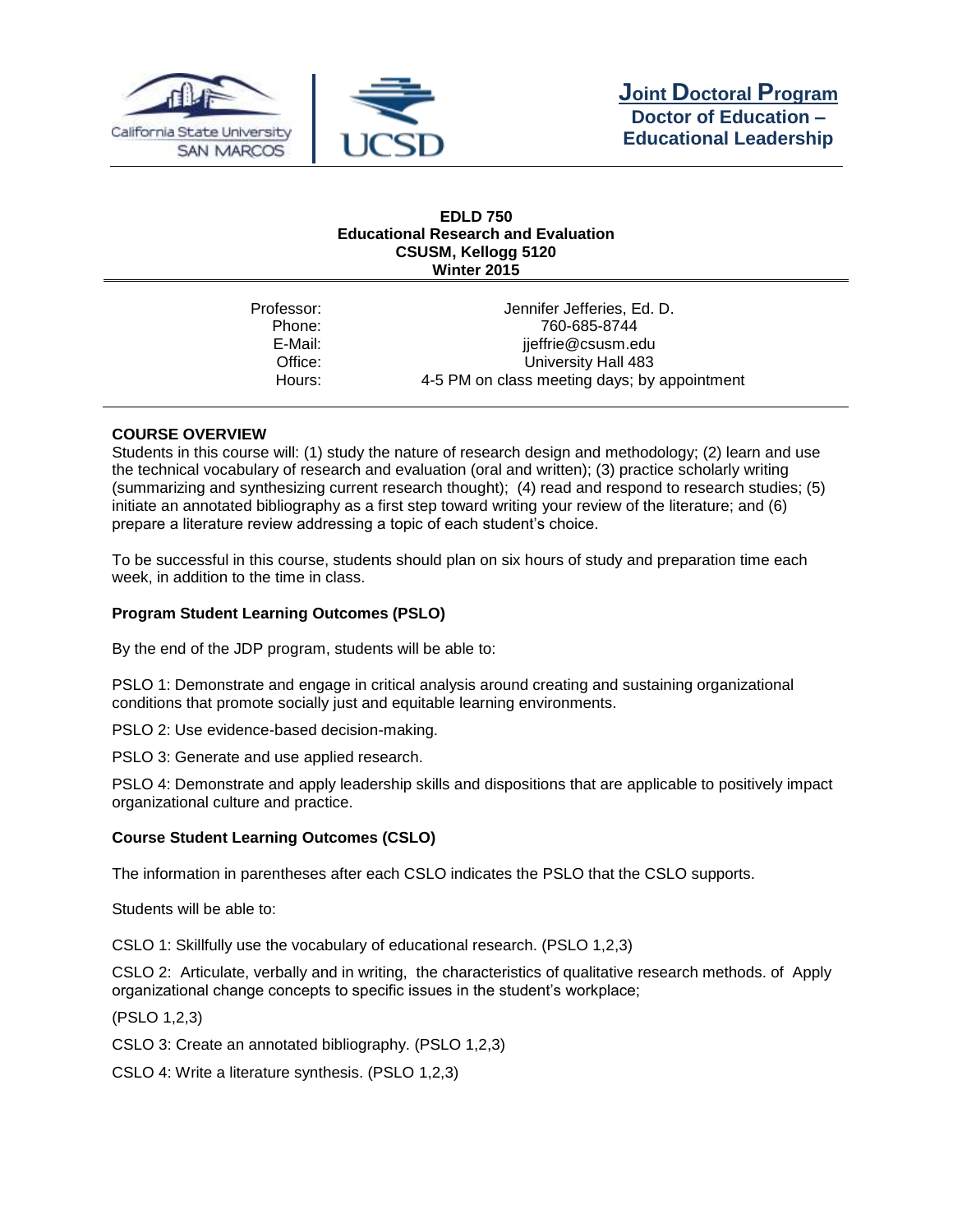



#### **EDLD 750 Educational Research and Evaluation CSUSM, Kellogg 5120 Winter 2015**

| Jennifer Jefferies, Ed. D.                   |
|----------------------------------------------|
| 760-685-8744                                 |
| jjeffrie@csusm.edu                           |
| University Hall 483                          |
| 4-5 PM on class meeting days; by appointment |
|                                              |

# **COURSE OVERVIEW**

Students in this course will: (1) study the nature of research design and methodology; (2) learn and use the technical vocabulary of research and evaluation (oral and written); (3) practice scholarly writing (summarizing and synthesizing current research thought); (4) read and respond to research studies; (5) initiate an annotated bibliography as a first step toward writing your review of the literature; and (6) prepare a literature review addressing a topic of each student's choice.

To be successful in this course, students should plan on six hours of study and preparation time each week, in addition to the time in class.

# **Program Student Learning Outcomes (PSLO)**

By the end of the JDP program, students will be able to:

PSLO 1: Demonstrate and engage in critical analysis around creating and sustaining organizational conditions that promote socially just and equitable learning environments.

PSLO 2: Use evidence-based decision-making.

PSLO 3: Generate and use applied research.

PSLO 4: Demonstrate and apply leadership skills and dispositions that are applicable to positively impact organizational culture and practice.

# **Course Student Learning Outcomes (CSLO)**

The information in parentheses after each CSLO indicates the PSLO that the CSLO supports.

Students will be able to:

CSLO 1: Skillfully use the vocabulary of educational research. (PSLO 1,2,3)

CSLO 2: Articulate, verbally and in writing, the characteristics of qualitative research methods. of Apply organizational change concepts to specific issues in the student's workplace;

(PSLO 1,2,3)

CSLO 3: Create an annotated bibliography. (PSLO 1,2,3)

CSLO 4: Write a literature synthesis. (PSLO 1,2,3)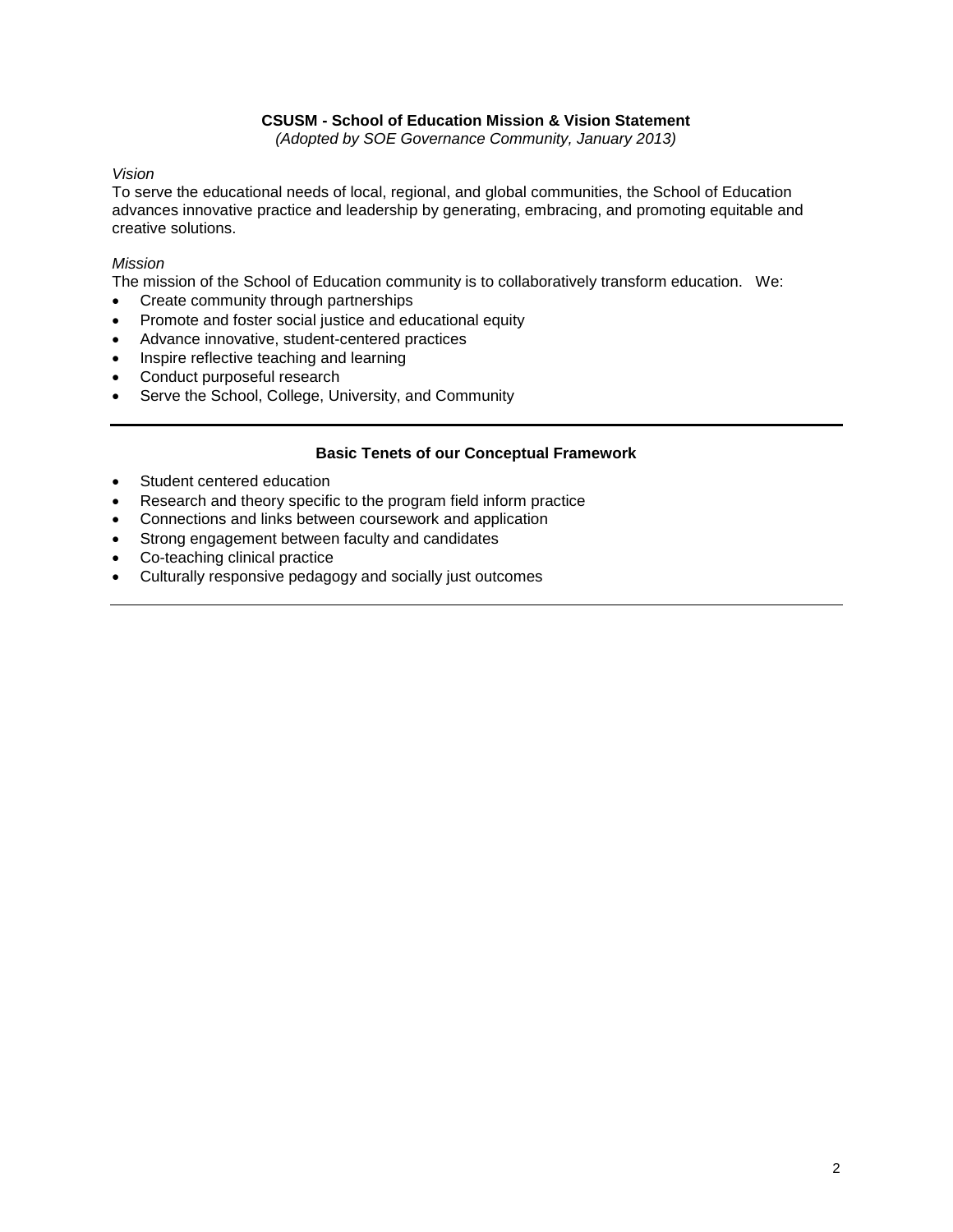# **CSUSM - School of Education Mission & Vision Statement**

*(Adopted by SOE Governance Community, January 2013)*

## *Vision*

To serve the educational needs of local, regional, and global communities, the School of Education advances innovative practice and leadership by generating, embracing, and promoting equitable and creative solutions.

## *Mission*

The mission of the School of Education community is to collaboratively transform education. We:

- Create community through partnerships
- Promote and foster social justice and educational equity
- Advance innovative, student-centered practices
- Inspire reflective teaching and learning
- Conduct purposeful research
- Serve the School, College, University, and Community

## **Basic Tenets of our Conceptual Framework**

- Student centered education
- Research and theory specific to the program field inform practice
- Connections and links between coursework and application
- Strong engagement between faculty and candidates
- Co-teaching clinical practice
- Culturally responsive pedagogy and socially just outcomes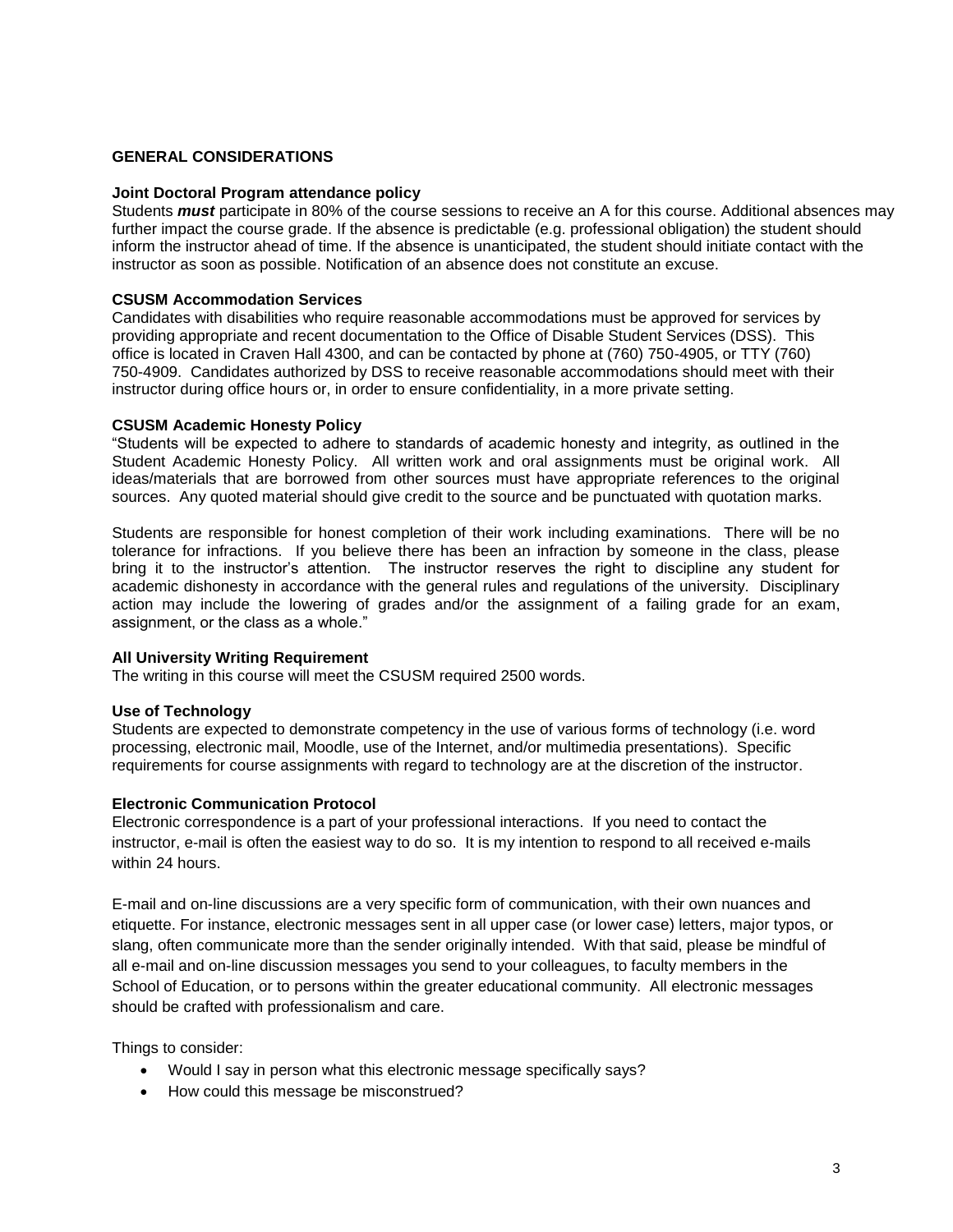# **GENERAL CONSIDERATIONS**

#### **Joint Doctoral Program attendance policy**

Students *must* participate in 80% of the course sessions to receive an A for this course. Additional absences may further impact the course grade. If the absence is predictable (e.g. professional obligation) the student should inform the instructor ahead of time. If the absence is unanticipated, the student should initiate contact with the instructor as soon as possible. Notification of an absence does not constitute an excuse.

## **CSUSM Accommodation Services**

Candidates with disabilities who require reasonable accommodations must be approved for services by providing appropriate and recent documentation to the Office of Disable Student Services (DSS). This office is located in Craven Hall 4300, and can be contacted by phone at (760) 750-4905, or TTY (760) 750-4909. Candidates authorized by DSS to receive reasonable accommodations should meet with their instructor during office hours or, in order to ensure confidentiality, in a more private setting.

## **CSUSM Academic Honesty Policy**

"Students will be expected to adhere to standards of academic honesty and integrity, as outlined in the Student Academic Honesty Policy. All written work and oral assignments must be original work. All ideas/materials that are borrowed from other sources must have appropriate references to the original sources. Any quoted material should give credit to the source and be punctuated with quotation marks.

Students are responsible for honest completion of their work including examinations. There will be no tolerance for infractions. If you believe there has been an infraction by someone in the class, please bring it to the instructor's attention. The instructor reserves the right to discipline any student for academic dishonesty in accordance with the general rules and regulations of the university. Disciplinary action may include the lowering of grades and/or the assignment of a failing grade for an exam, assignment, or the class as a whole."

## **All University Writing Requirement**

The writing in this course will meet the CSUSM required 2500 words.

## **Use of Technology**

Students are expected to demonstrate competency in the use of various forms of technology (i.e. word processing, electronic mail, Moodle, use of the Internet, and/or multimedia presentations). Specific requirements for course assignments with regard to technology are at the discretion of the instructor.

## **Electronic Communication Protocol**

Electronic correspondence is a part of your professional interactions. If you need to contact the instructor, e-mail is often the easiest way to do so. It is my intention to respond to all received e-mails within 24 hours.

E-mail and on-line discussions are a very specific form of communication, with their own nuances and etiquette. For instance, electronic messages sent in all upper case (or lower case) letters, major typos, or slang, often communicate more than the sender originally intended. With that said, please be mindful of all e-mail and on-line discussion messages you send to your colleagues, to faculty members in the School of Education, or to persons within the greater educational community. All electronic messages should be crafted with professionalism and care.

Things to consider:

- Would I say in person what this electronic message specifically says?
- How could this message be misconstrued?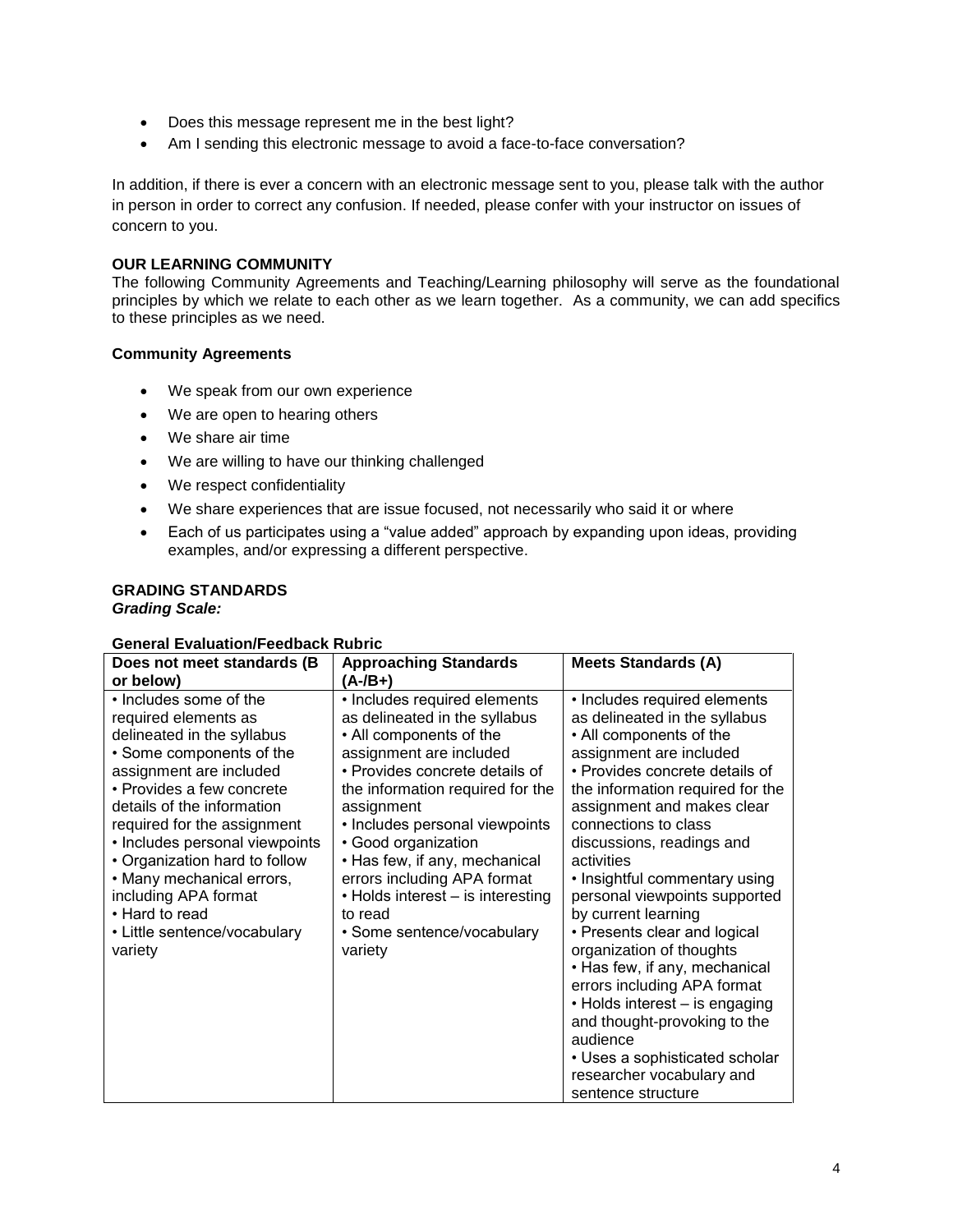- Does this message represent me in the best light?
- Am I sending this electronic message to avoid a face-to-face conversation?

In addition, if there is ever a concern with an electronic message sent to you, please talk with the author in person in order to correct any confusion. If needed, please confer with your instructor on issues of concern to you.

## **OUR LEARNING COMMUNITY**

The following Community Agreements and Teaching/Learning philosophy will serve as the foundational principles by which we relate to each other as we learn together. As a community, we can add specifics to these principles as we need.

## **Community Agreements**

- We speak from our own experience
- We are open to hearing others
- We share air time
- We are willing to have our thinking challenged
- We respect confidentiality
- We share experiences that are issue focused, not necessarily who said it or where
- Each of us participates using a "value added" approach by expanding upon ideas, providing examples, and/or expressing a different perspective.

# **GRADING STANDARDS**

*Grading Scale:*

## **General Evaluation/Feedback Rubric**

| Does not meet standards (B                                                                                                                                                                                                                                                                                                                                                                                         | <b>Approaching Standards</b>                                                                                                                                                                                                                                                                                                                                                                                              | <b>Meets Standards (A)</b>                                                                                                                                                                                                                                                                                                                                                                                                                                                                                                                                                                                                                                                         |
|--------------------------------------------------------------------------------------------------------------------------------------------------------------------------------------------------------------------------------------------------------------------------------------------------------------------------------------------------------------------------------------------------------------------|---------------------------------------------------------------------------------------------------------------------------------------------------------------------------------------------------------------------------------------------------------------------------------------------------------------------------------------------------------------------------------------------------------------------------|------------------------------------------------------------------------------------------------------------------------------------------------------------------------------------------------------------------------------------------------------------------------------------------------------------------------------------------------------------------------------------------------------------------------------------------------------------------------------------------------------------------------------------------------------------------------------------------------------------------------------------------------------------------------------------|
| or below)                                                                                                                                                                                                                                                                                                                                                                                                          | $(A - /B + )$                                                                                                                                                                                                                                                                                                                                                                                                             |                                                                                                                                                                                                                                                                                                                                                                                                                                                                                                                                                                                                                                                                                    |
| • Includes some of the<br>required elements as<br>delineated in the syllabus<br>• Some components of the<br>assignment are included<br>• Provides a few concrete<br>details of the information<br>required for the assignment<br>· Includes personal viewpoints<br>• Organization hard to follow<br>• Many mechanical errors,<br>including APA format<br>• Hard to read<br>• Little sentence/vocabulary<br>variety | • Includes required elements<br>as delineated in the syllabus<br>• All components of the<br>assignment are included<br>• Provides concrete details of<br>the information required for the<br>assignment<br>• Includes personal viewpoints<br>· Good organization<br>• Has few, if any, mechanical<br>errors including APA format<br>• Holds interest – is interesting<br>to read<br>• Some sentence/vocabulary<br>variety | • Includes required elements<br>as delineated in the syllabus<br>• All components of the<br>assignment are included<br>• Provides concrete details of<br>the information required for the<br>assignment and makes clear<br>connections to class<br>discussions, readings and<br>activities<br>• Insightful commentary using<br>personal viewpoints supported<br>by current learning<br>• Presents clear and logical<br>organization of thoughts<br>• Has few, if any, mechanical<br>errors including APA format<br>• Holds interest – is engaging<br>and thought-provoking to the<br>audience<br>• Uses a sophisticated scholar<br>researcher vocabulary and<br>sentence structure |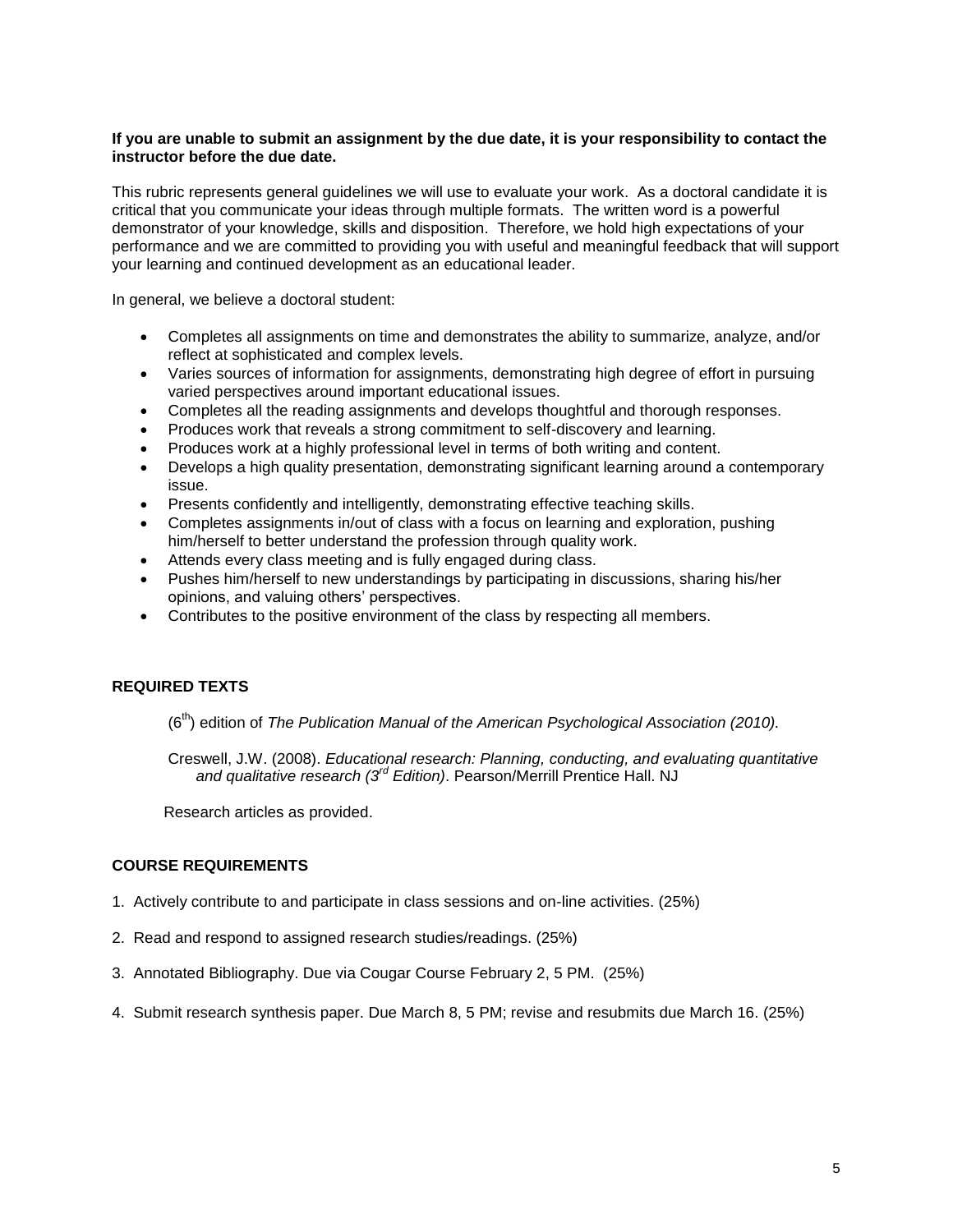### **If you are unable to submit an assignment by the due date, it is your responsibility to contact the instructor before the due date.**

This rubric represents general guidelines we will use to evaluate your work. As a doctoral candidate it is critical that you communicate your ideas through multiple formats. The written word is a powerful demonstrator of your knowledge, skills and disposition. Therefore, we hold high expectations of your performance and we are committed to providing you with useful and meaningful feedback that will support your learning and continued development as an educational leader.

In general, we believe a doctoral student:

- Completes all assignments on time and demonstrates the ability to summarize, analyze, and/or reflect at sophisticated and complex levels.
- Varies sources of information for assignments, demonstrating high degree of effort in pursuing varied perspectives around important educational issues.
- Completes all the reading assignments and develops thoughtful and thorough responses.
- Produces work that reveals a strong commitment to self-discovery and learning.
- Produces work at a highly professional level in terms of both writing and content.
- Develops a high quality presentation, demonstrating significant learning around a contemporary issue.
- Presents confidently and intelligently, demonstrating effective teaching skills.
- Completes assignments in/out of class with a focus on learning and exploration, pushing him/herself to better understand the profession through quality work.
- Attends every class meeting and is fully engaged during class.
- Pushes him/herself to new understandings by participating in discussions, sharing his/her opinions, and valuing others' perspectives.
- Contributes to the positive environment of the class by respecting all members.

## **REQUIRED TEXTS**

(6<sup>th</sup>) edition of *The Publication Manual of the American Psychological Association (2010).* 

Creswell, J.W. (2008). *Educational research: Planning, conducting, and evaluating quantitative and qualitative research (3rd Edition)*. Pearson/Merrill Prentice Hall. NJ

Research articles as provided.

## **COURSE REQUIREMENTS**

- 1. Actively contribute to and participate in class sessions and on-line activities. (25%)
- 2. Read and respond to assigned research studies/readings. (25%)
- 3. Annotated Bibliography. Due via Cougar Course February 2, 5 PM. (25%)
- 4. Submit research synthesis paper. Due March 8, 5 PM; revise and resubmits due March 16. (25%)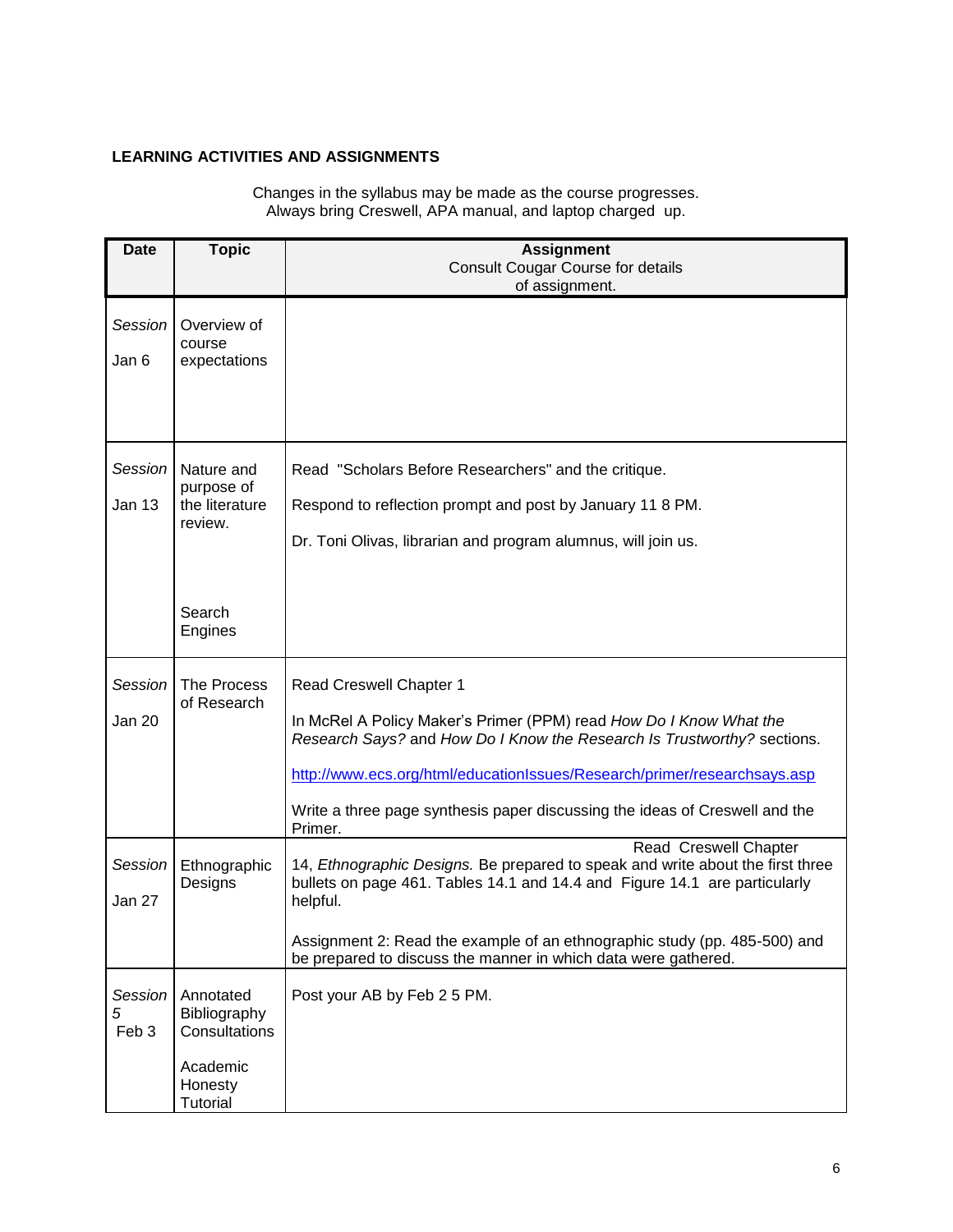# **LEARNING ACTIVITIES AND ASSIGNMENTS**

*5*

**Date Topic CONSIDER <b>TOPIC Assignment** Consult Cougar Course for details of assignment. *Session 1* course Jan 6 Overview of expectations *Session 2* purpose of Jan 13 Nature and the literature review. **Search** Engines Read "Scholars Before Researchers" and the critique. Respond to reflection prompt and post by January 11 8 PM. Dr. Toni Olivas, librarian and program alumnus, will join us. *Session 3* of Research Jan 20 The Process Read Creswell Chapter 1 In McRel A Policy Maker's Primer (PPM) read *How Do I Know What the Research Says?* and *How Do I Know the Research Is Trustworthy?* sections. <http://www.ecs.org/html/educationIssues/Research/primer/researchsays.asp> Write a three page synthesis paper discussing the ideas of Creswell and the Primer. *Session 4* Designs Jan 27 Ethnographic Read Creswell Chapter 14, *Ethnographic Designs.* Be prepared to speak and write about the first three bullets on page 461. Tables 14.1 and 14.4 and Figure 14.1 are particularly helpful. Assignment 2: Read the example of an ethnographic study (pp. 485-500) and

Changes in the syllabus may be made as the course progresses. Always bring Creswell, APA manual, and laptop charged up.

be prepared to discuss the manner in which data were gathered. *Session*  Feb 3 Annotated Bibliography **Consultations** Academic Honesty **Tutorial** Post your AB by Feb 2 5 PM.